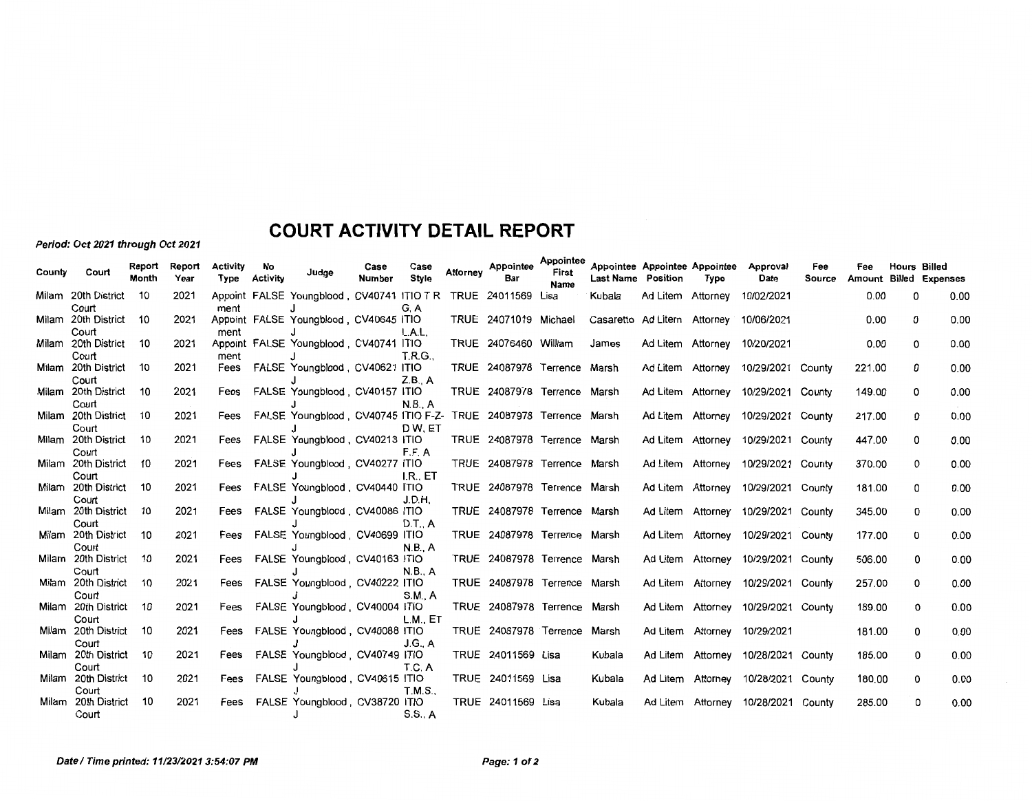## **COURT ACTIVITY DETAIL REPORT**

Period: Oct 2021 through Oct 2021

| County | Court                        | Report<br>Month | Report<br>Year | Activity<br>Type | No<br>Activity | Judge                                                            | Case<br>Number | Case<br>Style  | Attornev | Appointee<br>Bar             | Appointee<br>First<br><b>Name</b> | <b>Last Name Position</b>   | Appointee Appointee Appointee | Type     | Approval<br>Date                    | Fee<br>Source | Fee    | <b>Hours Billed</b> | <b>Amount Billed Expenses</b> |
|--------|------------------------------|-----------------|----------------|------------------|----------------|------------------------------------------------------------------|----------------|----------------|----------|------------------------------|-----------------------------------|-----------------------------|-------------------------------|----------|-------------------------------------|---------------|--------|---------------------|-------------------------------|
|        | Milam 20th District          | 10              | 2021           |                  |                | Appoint FALSE Youngblood, CV40741 ITIO T R TRUE 24011569 Lisa    |                |                |          |                              |                                   | Kubala                      | Ad Litem Attorney             |          | 10/02/2021                          |               | 0.00   | 0                   | 0.00                          |
|        | Court                        |                 |                | ment             |                |                                                                  |                | G.A            |          |                              |                                   |                             |                               |          |                                     |               |        |                     |                               |
| Milam  | 20th District                | 10              | 2021           |                  |                | Appoint FALSE Youngblood, CV40645 ITIO                           |                |                |          | TRUE 24071019 Michael        |                                   | Casaretto Ad Litem Attorney |                               |          | 10/06/2021                          |               | 0.00   | 0                   | 0.00                          |
|        | Court                        |                 |                | ment             |                |                                                                  |                | L.A.L.         |          |                              |                                   |                             |                               |          |                                     |               |        |                     |                               |
|        | Milam 20th District          | 10              | 2021           |                  |                | Appoint FALSE Youngblood, CV40741 ITIO                           |                |                |          | TRUE 24076460 William        |                                   | James                       | Ad Litem Attorney             |          | 10/20/2021                          |               | 0.00   | 0                   | 0.00                          |
|        | Court                        |                 |                | ment             |                |                                                                  |                | <b>T.R.G</b>   |          |                              |                                   |                             |                               |          |                                     |               |        |                     |                               |
|        | Milam 20th District          | 10              | 2021           | Fees             |                | FALSE Youngblood, CV40621 ITIO                                   |                |                |          | TRUE 24087978 Terrence Marsh |                                   |                             | Ad Litem Attorney             |          | 10/29/2021 County                   |               | 221.00 | 0                   | 0.00                          |
|        | Court                        |                 |                |                  |                |                                                                  |                | Z.B., A        |          |                              |                                   |                             |                               |          |                                     |               |        |                     |                               |
|        | Milam 20th District          | 10              | 2021           | Fees             |                | FALSE Youngblood, CV40157 ITIO                                   |                |                |          | TRUE 24087978 Terrence Marsh |                                   |                             |                               |          | Ad Litem Attorney 10/29/2021 County |               | 149.00 | 0                   | 0.00                          |
|        | Court                        |                 |                |                  |                |                                                                  |                | N.B., A        |          |                              |                                   |                             |                               |          |                                     |               | 217.00 | 0                   | 0.00                          |
|        | Milam 20th District          | -10             | 2021           | Fees             |                | FALSE Youngblood, CV40745 ITIO F-Z- TRUE 24087978 Terrence Marsh |                |                |          |                              |                                   |                             |                               |          | Ad Litem Attorney 10/29/2021 County |               |        |                     |                               |
|        | Court<br>Milam 20th District | -10             | 2021           | Fees             |                | FALSE Youngblood, CV40213 ITIO                                   |                | DW. ET         |          | TRUE 24087978 Terrence Marsh |                                   |                             |                               |          | Ad Litem Attorney 10/29/2021 County |               | 447.00 | 0                   | 0.00                          |
|        | Court                        |                 |                |                  |                |                                                                  |                | F.F. A         |          |                              |                                   |                             |                               |          |                                     |               |        |                     |                               |
|        | Milam 20th District          | -10             | 2021           | Fees             |                | FALSE Youngblood, CV40277 ITIO                                   |                |                |          | TRUE 24087978 Terrence Marsh |                                   |                             |                               |          | Ad Litem Attorney 10/29/2021 County |               | 370.00 | 0                   | 0.00                          |
|        | Court                        |                 |                |                  |                |                                                                  |                | I.R., ET       |          |                              |                                   |                             |                               |          |                                     |               |        |                     |                               |
|        | Milam 20th District          | 10              | 2021           | Fees             |                | FALSE Youngblood , CV40440 ITIO                                  |                |                |          | TRUE 24087978 Terrence Marsh |                                   |                             |                               |          | Ad Litem Attorney 10/29/2021 County |               | 181.00 | 0                   | 0.00                          |
|        | Court                        |                 |                |                  |                |                                                                  |                | J.D.H.         |          |                              |                                   |                             |                               |          |                                     |               |        |                     |                               |
|        | Milam 20th District          | 10              | 2021           | Fees             |                | FALSE Youngblood, CV40086 ITIO                                   |                |                |          | TRUE 24087978 Terrence Marsh |                                   |                             |                               |          | Ad Litem Attorney 10/29/2021 County |               | 345.00 | 0                   | 0.00                          |
|        | Court                        |                 |                |                  |                |                                                                  |                | D.T A          |          |                              |                                   |                             |                               |          |                                     |               |        |                     |                               |
|        | Milam 20th District          | 10              | 2021           | Fees             |                | FALSE Youngblood, CV40699 ITIO                                   |                |                |          | TRUE 24087978 Terrence Marsh |                                   |                             | Ad Litem Attorney             |          | 10/29/2021 County                   |               | 177.00 | 0                   | 0.00                          |
|        | Court                        |                 |                |                  |                |                                                                  |                | N.B., A        |          |                              |                                   |                             |                               |          |                                     |               |        |                     |                               |
|        | Milam 20th District          | -10             | 2021           | Fees             |                | FALSE Youngblood, CV40163 ITIO                                   |                |                |          | TRUE 24087978 Terrence Marsh |                                   |                             | Ad Litem Attorney             |          | 10/29/2021 County                   |               | 506.00 | 0                   | 0.00                          |
|        | Court                        |                 |                |                  |                |                                                                  |                | <b>N.B., A</b> |          |                              |                                   |                             |                               |          |                                     |               |        |                     |                               |
|        | Milam 20th District          | -10             | 2021           | Fees             |                | FALSE Youngblood, CV40222 ITIO                                   |                |                |          | TRUE 24087978 Terrence Marsh |                                   |                             |                               |          | Ad Litem Attorney 10/29/2021 County |               | 257.00 | 0                   | 0.00                          |
|        | Court                        |                 |                |                  |                |                                                                  |                | <b>S.M., A</b> |          |                              |                                   |                             |                               |          |                                     |               |        |                     |                               |
|        | Milam 20th District          | -10             | 2021           | Fees             |                | FALSE Youngblood, CV40004 ITIO                                   |                |                |          | TRUE 24087978 Terrence Marsh |                                   |                             |                               |          | Ad Litem Attorney 10/29/2021 County |               | 189.00 | 0                   | 0.00                          |
|        | Court                        |                 |                |                  |                |                                                                  |                | L.M., ET       |          |                              |                                   |                             |                               |          |                                     |               |        |                     |                               |
|        | Milam 20th District          | 10              | 2021           | Fees             |                | FALSE Youngblood, CV40088 ITIO                                   |                |                |          | TRUE 24087978 Terrence Marsh |                                   |                             |                               |          | Ad Litem Attorney 10/29/2021        |               | 181.00 | 0                   | 0.00                          |
|        | Court                        |                 |                |                  |                |                                                                  |                | J.G., A        |          |                              |                                   |                             |                               |          |                                     |               |        |                     |                               |
|        | Milam 20th District          | 10              | 2021           | Fees             |                | FALSE Youngblood, CV40749 ITIO                                   |                |                |          | TRUE 24011569 Lisa           |                                   | Kubala                      |                               |          | Ad Litem Attorney 10/28/2021 County |               | 185.00 | 0                   | 0.00                          |
|        | Court                        |                 |                |                  |                |                                                                  |                | <b>T.C. A</b>  |          |                              |                                   |                             |                               |          |                                     |               |        |                     |                               |
|        | Milam 20th District          | 10              | 2021           | Fees             |                | FALSE Youngblood, CV40615 ITIO                                   |                |                |          | TRUE 24011569 Lisa           |                                   | Kubala                      | Ad Litem Attorney             |          | 10/28/2021 County                   |               | 180.00 | 0                   | 0.00                          |
|        | Court                        |                 |                |                  |                |                                                                  |                | <b>T.M.S</b>   |          |                              |                                   |                             |                               |          |                                     |               |        |                     |                               |
|        | Milam 20th District          | 10              | 2021           | Fees             |                | FALSE Youngblood, CV38720 ITIO                                   |                |                |          | TRUE 24011569 Lisa           |                                   | Kubala                      | Ad Litem                      | Attorney | 10/28/2021 County                   |               | 285.00 | 0                   | 0.00                          |
|        | Court                        |                 |                |                  |                |                                                                  |                | S.S., A        |          |                              |                                   |                             |                               |          |                                     |               |        |                     |                               |